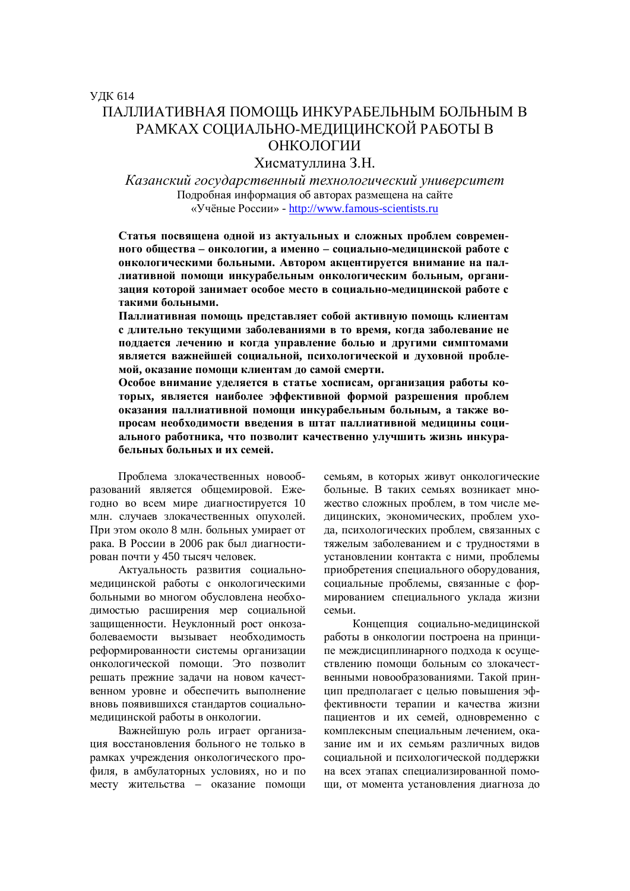Хисматуллина З.Н.

Казанский государственный технологический университет Подробная информация об авторах размещена на сайте «Учёные России» - http://www.famous-scientists.ru

Статья посвящена одной из актуальных и сложных проблем современного общества – онкологии, а именно – социально-медицинской работе с **• онкологическими больными. Автором акцентируется внимание на пал**лиативной помоши инкурабельным онкологическим больным, организация которой занимает особое место в социально-медицинской работе с такими больными.

Паллиативная помощь представляет собой активную помощь клиентам с длительно текущими заболеваниями в то время, когда заболевание не поддается лечению и когда управление болью и другими симптомами является важнейшей социальной, психологической и духовной проблемой, оказание помощи клиентам до самой смерти.

Особое внимание уделяется в статье хосписам, организация работы которых, является наиболее эффективной формой разрешения проблем **оказания паллиативной помощи инкурабельным больным, а также во**просам необходимости введения в штат паллиативной медицины социального работника, что позволит качественно улучшить жизнь инкура**бельных больных и их семей.** 

Проблема злокачественных новообразований является общемировой. Ежегодно во всем мире диагностируется 10 млн. случаев злокачественных опухолей. При этом около 8 млн. больных умирает от рака. В России в 2006 рак был диагностирован почти у 450 тысяч человек.

Актуальность развития социальномедицинской работы с онкологическими больными во многом обусловлена необходимостью расширения мер социальной защищенности. Неуклонный рост онкозаболеваемости вызывает необходимость реформированности системы организации онкологической помощи. Это позволит решать прежние задачи на новом качественном уровне и обеспечить выполнение вновь появившихся стандартов социальномедицинской работы в онкологии.

Важнейшую роль играет организация восстановления больного не только в рамках учреждения онкологического профиля, в амбулаторных условиях, но и по месту жительства – оказание помощи семьям, в которых живут онкологические больные. В таких семьях возникает множество сложных проблем, в том числе мелицинских, экономических, проблем ухода, психологических проблем, связанных с тяжелым заболеванием и с трудностями в установлении контакта с ними, проблемы приобретения специального оборудования, социальные проблемы, связанные с формированием специального уклада жизни семьи.

Концепция социально-мелицинской работы в онкологии построена на принципе междисциплинарного подхода к осуществлению помощи больным со злокачественными новообразованиями. Такой принцип предполагает с целью повышения эффективности терапии и качества жизни пациентов и их семей, одновременно с комплексным специальным лечением, оказание им и их семьям различных видов социальной и психологической поддержки на всех этапах специализированной помощи, от момента установления диагноза до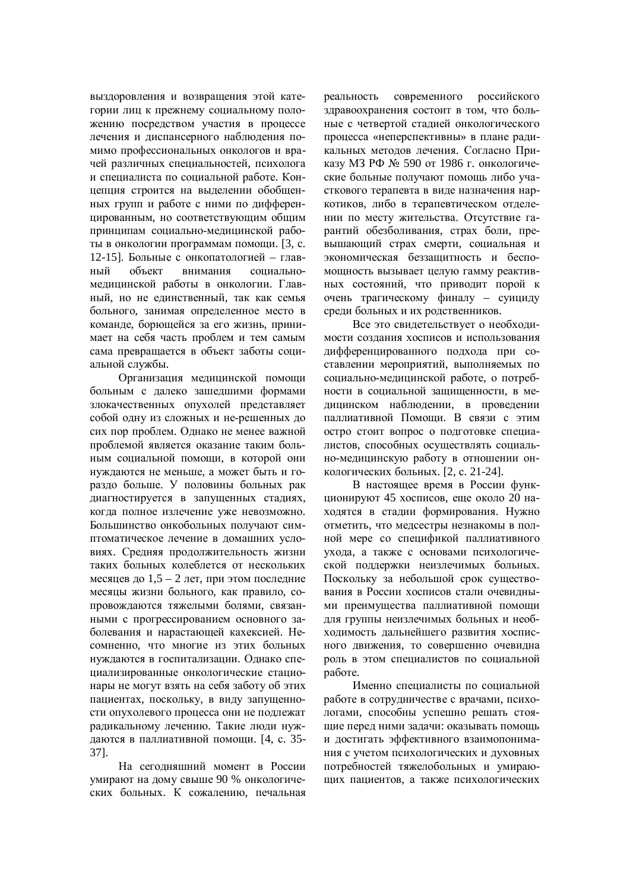выздоровления и возвращения этой категории лиц к прежнему социальному положению посредством участия в процессе лечения и диспансерного наблюдения помимо профессиональных онкологов и врачей различных специальностей, психолога и специалиста по социальной работе. Концепция строится на выделении обобщенных групп и работе с ними по дифференцированным, но соответствующим общим принципам социально-медицинской работы в онкологии программам помощи. [3, с. 12-15]. Больные с онкопатологией – главный объект внимания социальномедицинской работы в онкологии. Главный, но не единственный, так как семья больного, занимая определенное место в команде, борющейся за его жизнь, принимает на себя часть проблем и тем самым сама превращается в объект заботы социальной службы.

Организация медицинской помощи больным с далеко зашедшими формами злокачественных опухолей представляет собой одну из сложных и не-решенных до сих пор проблем. Однако не менее важной проблемой является оказание таким больным социальной помощи, в которой они нуждаются не меньше, а может быть и гораздо больше. У половины больных рак диагностируется в запущенных стадиях, когда полное излечение уже невозможно. Большинство онкобольных получают симптоматическое лечение в домашних условиях. Средняя продолжительность жизни таких больных колеблется от нескольких месяцев до  $1,5 - 2$  лет, при этом последние месяцы жизни больного, как правило, сопровождаются тяжелыми болями, связанными с прогрессированием основного заболевания и нарастающей кахексией. Несомненно, что многие из этих больных нуждаются в госпитализации. Однако специализированные онкологические стационары не могут взять на себя заботу об этих пациентах, поскольку, в виду запущенности опухолевого процесса они не подлежат радикальному лечению. Такие люди нуждаются в паллиативной помощи. [4, с. 35-37].

На сеголняшний момент в России умирают на дому свыше 90 % онкологических больных. К сожалению, печальная

реальность современного российского здравоохранения состоит в том, что больные с четвертой сталией онкологического процесса «неперспективны» в плане радикальных методов лечения. Согласно Приказу МЗ РФ № 590 от 1986 г. онкологические больные получают помощь либо участкового терапевта в виде назначения наркотиков, либо в терапевтическом отделении по месту жительства. Отсутствие гарантий обезболивания, страх боли, превышающий страх смерти, социальная и экономическая беззащитность и беспомощность вызывает целую гамму реактивных состояний, что приводит порой к очень трагическому финалу – суициду среди больных и их родственников.

Все это свидетельствует о необходимости создания хосписов и использования дифференцированного подхода при составлении мероприятий, выполняемых по социально-медицинской работе, о потребности в социальной защищенности, в медицинском наблюдении, в проведении паллиативной Помощи. В связи с этим остро стоит вопрос о подготовке специалистов, способных осуществлять социально-медицинскую работу в отношении онкологических больных. [2, с. 21-24].

В настоящее время в России функционируют 45 хосписов, еще около 20 находятся в стадии формирования. Нужно отметить, что медсестры незнакомы в полной мере со спецификой паллиативного ухода, а также с основами психологической поддержки неизлечимых больных. Поскольку за небольшой срок существования в России хосписов стали очевидными преимущества паллиативной помощи для группы неизлечимых больных и необходимость дальнейшего развития хосписного движения, то совершенно очевидна роль в этом специалистов по социальной naботе.

Именно специалисты по социальной работе в сотрудничестве с врачами, психологами, способны успешно решать стоящие перед ними задачи: оказывать помощь и лостигать эффективного взаимопонимания с учетом психологических и духовных потребностей тяжелобольных и умираюпих папиентов, а также психологических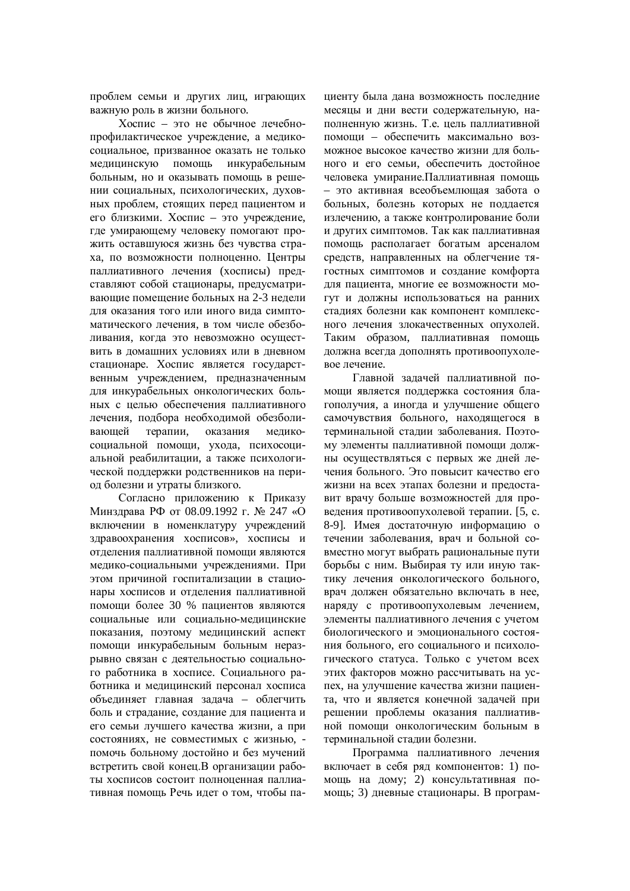проблем семьи и других лиц, играющих важную роль в жизни больного.

 $X$ оспис – это не обычное лечебнопрофилактическое учреждение, а медикосоциальное, призванное оказать не только медицинскую помощь инкурабельным больным, но и оказывать помощь в решении социальных, психологических, духовных проблем, стоящих перед пациентом и его близкими. Хоспис – это учреждение, где умирающему человеку помогают прожить оставшуюся жизнь без чувства страха, по возможности полноценно. Центры паллиативного лечения (хосписы) представляют собой стационары, предусматривающие помешение больных на 2-3 нелели для оказания того или иного вила симптоматического лечения, в том числе обезболивания, когда это невозможно осуществить в домашних условиях или в дневном стационаре. Хоспис является государственным учреждением, предназначенным для инкурабельных онкологических больных с нелью обеспечения паллиативного лечения, подбора необходимой обезболивающей терапии, оказания медикосоциальной помощи, ухода, психосоциальной реабилитации, а также психологической поддержки родственников на период болезни и утраты близкого.

Согласно приложению к Приказу Минздрава РФ от 08.09.1992 г. № 247 «О включении в номенклатуру учреждений здравоохранения хосписов», хосписы и отделения паллиативной помощи являются медико-социальными учреждениями. При этом причиной госпитализации в стационары хосписов и отделения паллиативной помощи более 30 % пациентов являются социальные или социально-медицинские показания, поэтому мелицинский аспект помощи инкурабельным больным неразрывно связан с деятельностью социального работника в хосписе. Социального работника и медицинский персонал хосписа объединяет главная задача – облегчить боль и страдание, создание для пациента и его семьи лучшего качества жизни, а при состояниях, не совместимых с жизнью, помочь больному достойно и без мучений встретить свой конец. В организации работы хосписов состоит полноненная паллиативная помощь Речь идет о том, чтобы пациенту была дана возможность последние месяцы и дни вести содержательную, наполненную жизнь. Т.е. цель паллиативной помоши – обеспечить максимально возможное высокое качество жизни для больного и его семьи, обеспечить достойное человека умирание. Паллиативная помощь - это активная всеобъемлющая забота о больных, болезнь которых не поддается излечению, а также контролирование боли и других симптомов. Так как паллиативная помощь располагает богатым арсеналом средств, направленных на облегчение тягостных симптомов и создание комфорта для пациента, многие ее возможности мо-ГУТ И ЛОЛЖНЫ ИСПОЛЬЗОВАТЬСЯ НА РАННИХ стадиях болезни как компонент комплексного лечения злокачественных опухолей. Таким образом, паллиативная помощь должна всегда дополнять противоопухолевое лечение.

Главной залачей паллиативной помощи является поддержка состояния благополучия, а иногда и улучшение общего самочувствия больного, находящегося в терминальной стадии заболевания. Поэтому элементы паллиативной помощи должны осуществляться с первых же дней лечения больного. Это повысит качество его жизни на всех этапах болезни и прелоставит врачу больше возможностей для проведения противоопухолевой терапии. [5, с. 8-9]. Имея достаточную информацию о течении заболевания, врач и больной совместно могут выбрать рациональные пути борьбы с ним. Выбирая ту или иную тактику лечения онкологического больного, врач должен обязательно включать в нее, наряду с противоопухолевым лечением, элементы паллиативного лечения с учетом биологического и эмоционального состояния больного, его социального и психологического статуса. Только с учетом всех этих факторов можно рассчитывать на успех, на улучшение качества жизни пациента, что и является конечной задачей при решении проблемы оказания паллиативной помоши онкологическим больным в терминальной сталии болезни.

Программа паллиативного лечения включает в себя ряд компонентов: 1) помощь на дому; 2) консультативная помощь; 3) дневные стационары. В програм-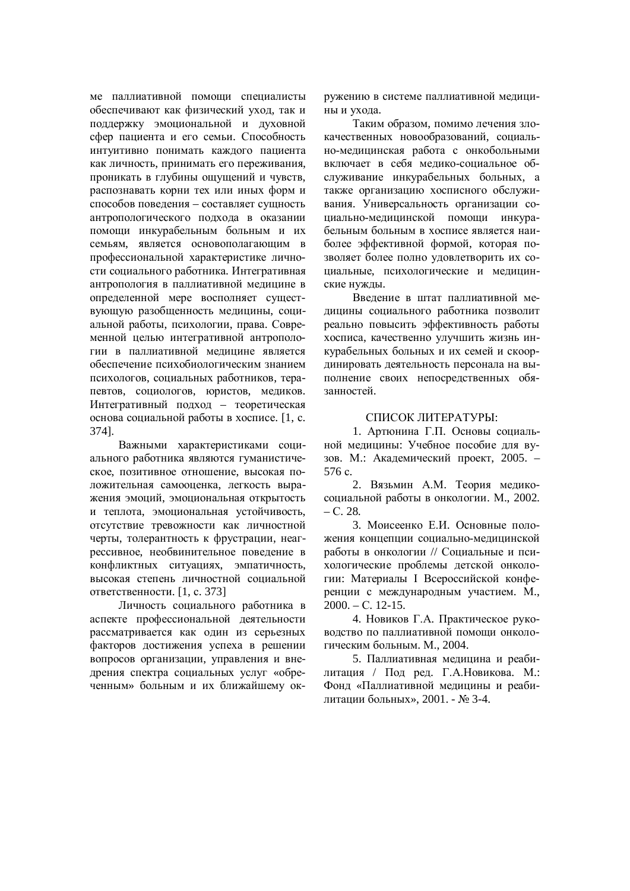ме паллиативной помощи специалисты обеспечивают как физический уход, так и поддержку эмоциональной и духовной сфер пациента и его семьи. Способность интуитивно понимать каждого пациента как личность, принимать его переживания, проникать в глубины ощущений и чувств, распознавать корни тех или иных форм и способов поведения – составляет сущность антропологического подхода в оказании помощи инкурабельным больным и их семьям, является основополагающим в профессиональной характеристике личности социального работника. Интегративная антропология в паллиативной медицине в определенной мере восполняет существующую разобщенность медицины, социальной работы, психологии, права. Современной целью интегративной антропологии в паллиативной мелицине является обеспечение психобиологическим знанием психологов, социальных работников, терапевтов, социологов, юристов, медиков. Интегративный подход – теоретическая основа социальной работы в хосписе. [1, с. 374].

Важными характеристиками социального работника являются гуманистическое, позитивное отношение, высокая положительная самооценка, легкость выражения эмоций, эмоциональная открытость и теплота, эмоциональная устойчивость, отсутствие тревожности как личностной черты, толерантность к фрустрации, неагрессивное, необвинительное поведение в хонфликтных ситуациях, эмпатичность, высокая степень личностной социальной ответственности. [1, с. 373]

Личность социального работника в аспекте профессиональной деятельности рассматривается как один из серьезных факторов достижения успеха в решении вопросов организации, управления и внедрения спектра социальных услуг «обреченным» больным и их ближайшему окружению в системе паллиативной медицины и ухода.

Таким образом, помимо лечения злокачественных новообразований, социально-медицинская работа с онкобольными включает в себя медико-социальное обслуживание инкурабельных больных, а также организацию хосписного обслуживания. Универсальность организации сопиально-мелининской помощи инкурабельным больным в хосписе является наиболее эффективной формой, которая позволяет более полно удовлетворить их социальные, психологические и медицинские нужды.

Введение в штат паллиативной медицины социального работника позволит реально повысить эффективность работы хосписа, качественно улучшить жизнь инкурабельных больных и их семей и скоординировать деятельность персонала на выполнение своих непосрелственных обязанностей.

## СПИСОК ЛИТЕРАТУРЫ:

1. Артюнина Г.П. Основы социальной медицины: Учебное пособие для вузов. М.: Академический проект, 2005. – 576 c.

2. Вязьмин А.М. Теория медикосоциальной работы в онкологии. М., 2002.  $- C. 28.$ 

3. Моисеенко Е.И. Основные положения концепции социально-медицинской работы в онкологии // Социальные и психологические проблемы детской онкологии: Материалы I Всероссийской конференции с международным участием. М.,  $2000. - C. 12-15.$ 

4. Новиков Г.А. Практическое руководство по паллиативной помощи онкологическим больным М 2004

5. Паллиативная медицина и реабилитация / Под ред. Г.А. Новикова. М.: Фонд «Паллиативной медицины и реабилитации больных», 2001. - № 3-4.